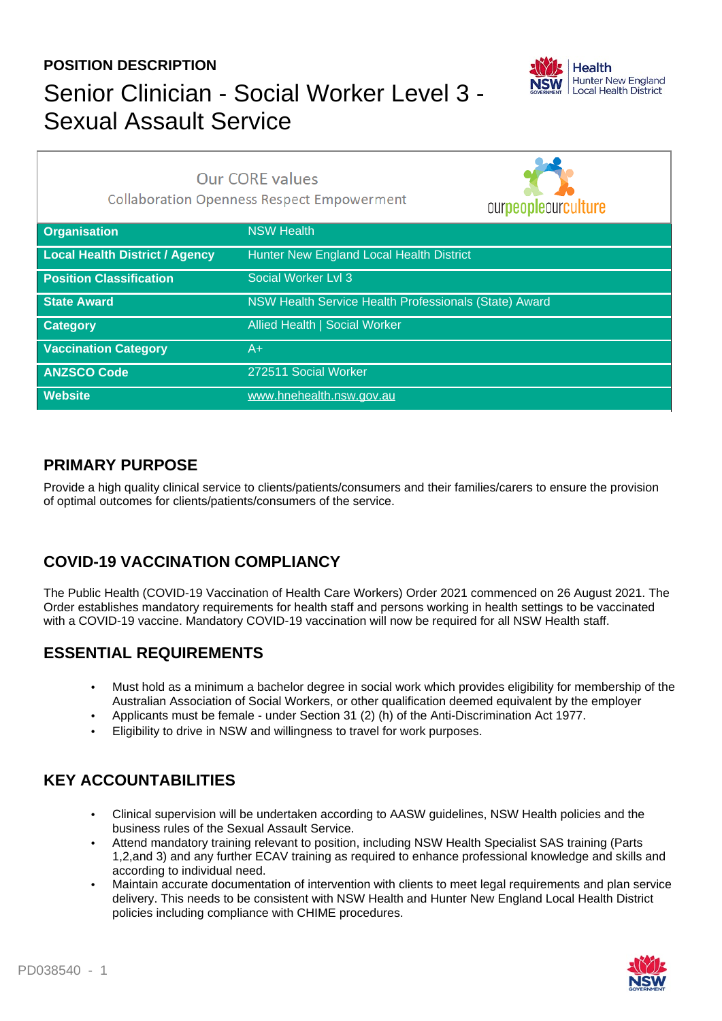# **POSITION DESCRIPTION** Senior Clinician - Social Worker Level 3 - Sexual Assault Service



|                                       | <b>Our CORE values</b><br><b>Collaboration Openness Respect Empowerment</b><br>ourpeopleourculture |
|---------------------------------------|----------------------------------------------------------------------------------------------------|
| <b>Organisation</b>                   | <b>NSW Health</b>                                                                                  |
| <b>Local Health District / Agency</b> | Hunter New England Local Health District                                                           |
| <b>Position Classification</b>        | Social Worker Lvl 3                                                                                |
| <b>State Award</b>                    | NSW Health Service Health Professionals (State) Award                                              |
| <b>Category</b>                       | Allied Health   Social Worker                                                                      |
| <b>Vaccination Category</b>           | A+                                                                                                 |
| <b>ANZSCO Code</b>                    | 272511 Social Worker                                                                               |
| <b>Website</b>                        | www.hnehealth.nsw.gov.au                                                                           |

### **PRIMARY PURPOSE**

Provide a high quality clinical service to clients/patients/consumers and their families/carers to ensure the provision of optimal outcomes for clients/patients/consumers of the service.

## **COVID-19 VACCINATION COMPLIANCY**

The Public Health (COVID-19 Vaccination of Health Care Workers) Order 2021 commenced on 26 August 2021. The Order establishes mandatory requirements for health staff and persons working in health settings to be vaccinated with a COVID-19 vaccine. Mandatory COVID-19 vaccination will now be required for all NSW Health staff.

## **ESSENTIAL REQUIREMENTS**

- Must hold as a minimum a bachelor degree in social work which provides eligibility for membership of the Australian Association of Social Workers, or other qualification deemed equivalent by the employer
- Applicants must be female under Section 31 (2) (h) of the Anti-Discrimination Act 1977.
- Eligibility to drive in NSW and willingness to travel for work purposes.

## **KEY ACCOUNTABILITIES**

- Clinical supervision will be undertaken according to AASW guidelines, NSW Health policies and the business rules of the Sexual Assault Service.
- Attend mandatory training relevant to position, including NSW Health Specialist SAS training (Parts 1,2,and 3) and any further ECAV training as required to enhance professional knowledge and skills and according to individual need.
- Maintain accurate documentation of intervention with clients to meet legal requirements and plan service delivery. This needs to be consistent with NSW Health and Hunter New England Local Health District policies including compliance with CHIME procedures.

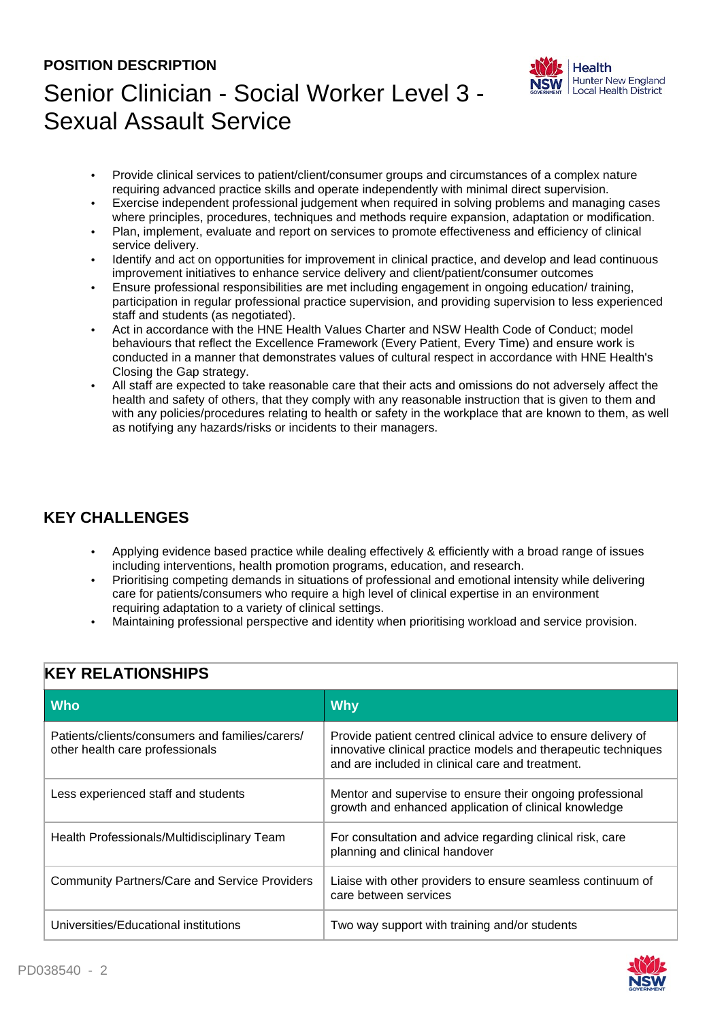# **POSITION DESCRIPTION** Senior Clinician - Social Worker Level 3 - Sexual Assault Service



- Provide clinical services to patient/client/consumer groups and circumstances of a complex nature requiring advanced practice skills and operate independently with minimal direct supervision.
- Exercise independent professional judgement when required in solving problems and managing cases where principles, procedures, techniques and methods require expansion, adaptation or modification.
- Plan, implement, evaluate and report on services to promote effectiveness and efficiency of clinical service delivery.
- Identify and act on opportunities for improvement in clinical practice, and develop and lead continuous improvement initiatives to enhance service delivery and client/patient/consumer outcomes
- Ensure professional responsibilities are met including engagement in ongoing education/ training, participation in regular professional practice supervision, and providing supervision to less experienced staff and students (as negotiated).
- Act in accordance with the HNE Health Values Charter and NSW Health Code of Conduct; model behaviours that reflect the Excellence Framework (Every Patient, Every Time) and ensure work is conducted in a manner that demonstrates values of cultural respect in accordance with HNE Health's Closing the Gap strategy.
- All staff are expected to take reasonable care that their acts and omissions do not adversely affect the health and safety of others, that they comply with any reasonable instruction that is given to them and with any policies/procedures relating to health or safety in the workplace that are known to them, as well as notifying any hazards/risks or incidents to their managers.

## **KEY CHALLENGES**

- Applying evidence based practice while dealing effectively & efficiently with a broad range of issues including interventions, health promotion programs, education, and research.
- Prioritising competing demands in situations of professional and emotional intensity while delivering care for patients/consumers who require a high level of clinical expertise in an environment requiring adaptation to a variety of clinical settings.
- Maintaining professional perspective and identity when prioritising workload and service provision.

| <b>Who</b>                                                                         | <b>Why</b>                                                                                                                                                                          |  |
|------------------------------------------------------------------------------------|-------------------------------------------------------------------------------------------------------------------------------------------------------------------------------------|--|
| Patients/clients/consumers and families/carers/<br>other health care professionals | Provide patient centred clinical advice to ensure delivery of<br>innovative clinical practice models and therapeutic techniques<br>and are included in clinical care and treatment. |  |
| Less experienced staff and students                                                | Mentor and supervise to ensure their ongoing professional<br>growth and enhanced application of clinical knowledge                                                                  |  |
| Health Professionals/Multidisciplinary Team                                        | For consultation and advice regarding clinical risk, care<br>planning and clinical handover                                                                                         |  |
| <b>Community Partners/Care and Service Providers</b>                               | Liaise with other providers to ensure seamless continuum of<br>care between services                                                                                                |  |
| Universities/Educational institutions                                              | Two way support with training and/or students                                                                                                                                       |  |

#### **KEY RELATIONSHIPS**